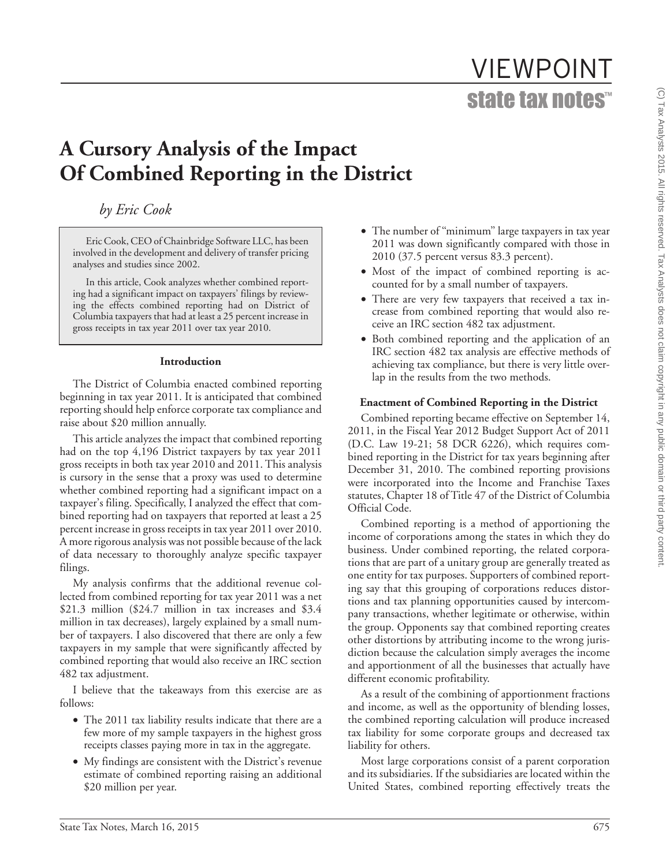# VIEWPOINT state tax notes™

# **A Cursory Analysis of the Impact Of Combined Reporting in the District**

*by Eric Cook*

Eric Cook, CEO of Chainbridge Software LLC, has been involved in the development and delivery of transfer pricing analyses and studies since 2002.

In this article, Cook analyzes whether combined reporting had a significant impact on taxpayers' filings by reviewing the effects combined reporting had on District of Columbia taxpayers that had at least a 25 percent increase in gross receipts in tax year 2011 over tax year 2010.

#### **Introduction**

The District of Columbia enacted combined reporting beginning in tax year 2011. It is anticipated that combined reporting should help enforce corporate tax compliance and raise about \$20 million annually.

This article analyzes the impact that combined reporting had on the top 4,196 District taxpayers by tax year 2011 gross receipts in both tax year 2010 and 2011. This analysis is cursory in the sense that a proxy was used to determine whether combined reporting had a significant impact on a taxpayer's filing. Specifically, I analyzed the effect that combined reporting had on taxpayers that reported at least a 25 percent increase in gross receipts in tax year 2011 over 2010. A more rigorous analysis was not possible because of the lack of data necessary to thoroughly analyze specific taxpayer filings.

My analysis confirms that the additional revenue collected from combined reporting for tax year 2011 was a net \$21.3 million (\$24.7 million in tax increases and \$3.4 million in tax decreases), largely explained by a small number of taxpayers. I also discovered that there are only a few taxpayers in my sample that were significantly affected by combined reporting that would also receive an IRC section 482 tax adjustment.

I believe that the takeaways from this exercise are as follows:

- The 2011 tax liability results indicate that there are a few more of my sample taxpayers in the highest gross receipts classes paying more in tax in the aggregate.
- My findings are consistent with the District's revenue estimate of combined reporting raising an additional \$20 million per year.
- The number of "minimum" large taxpayers in tax year 2011 was down significantly compared with those in 2010 (37.5 percent versus 83.3 percent).
- Most of the impact of combined reporting is accounted for by a small number of taxpayers.
- There are very few taxpayers that received a tax increase from combined reporting that would also receive an IRC section 482 tax adjustment.
- Both combined reporting and the application of an IRC section 482 tax analysis are effective methods of achieving tax compliance, but there is very little overlap in the results from the two methods.

### **Enactment of Combined Reporting in the District**

Combined reporting became effective on September 14, 2011, in the Fiscal Year 2012 Budget Support Act of 2011 (D.C. Law 19-21; 58 DCR 6226), which requires combined reporting in the District for tax years beginning after December 31, 2010. The combined reporting provisions were incorporated into the Income and Franchise Taxes statutes, Chapter 18 of Title 47 of the District of Columbia Official Code.

Combined reporting is a method of apportioning the income of corporations among the states in which they do business. Under combined reporting, the related corporations that are part of a unitary group are generally treated as one entity for tax purposes. Supporters of combined reporting say that this grouping of corporations reduces distortions and tax planning opportunities caused by intercompany transactions, whether legitimate or otherwise, within the group. Opponents say that combined reporting creates other distortions by attributing income to the wrong jurisdiction because the calculation simply averages the income and apportionment of all the businesses that actually have different economic profitability.

As a result of the combining of apportionment fractions and income, as well as the opportunity of blending losses, the combined reporting calculation will produce increased tax liability for some corporate groups and decreased tax liability for others.

Most large corporations consist of a parent corporation and its subsidiaries. If the subsidiaries are located within the United States, combined reporting effectively treats the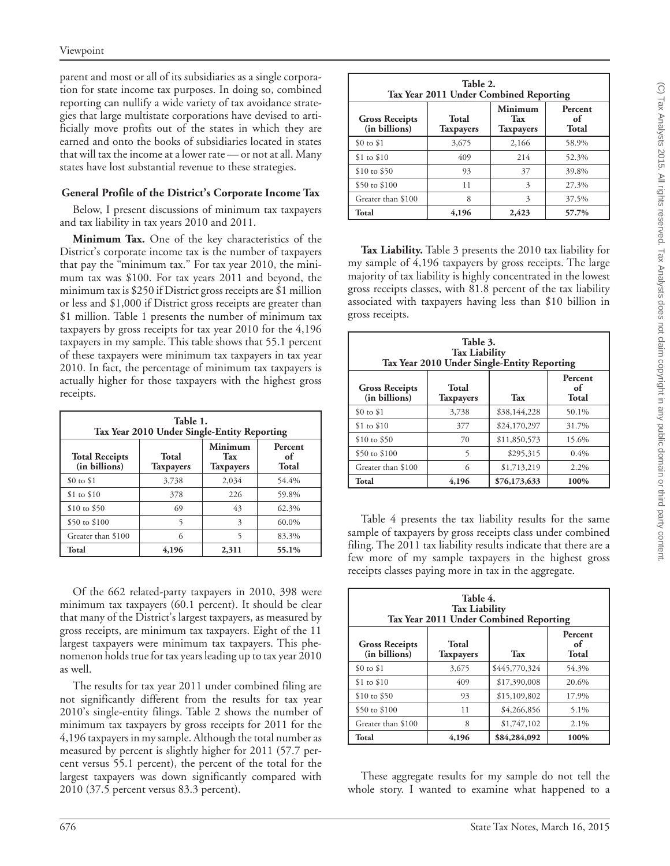parent and most or all of its subsidiaries as a single corporation for state income tax purposes. In doing so, combined reporting can nullify a wide variety of tax avoidance strategies that large multistate corporations have devised to artificially move profits out of the states in which they are earned and onto the books of subsidiaries located in states that will tax the income at a lower rate — or not at all. Many states have lost substantial revenue to these strategies.

# **General Profile of the District's Corporate Income Tax**

Below, I present discussions of minimum tax taxpayers and tax liability in tax years 2010 and 2011.

**Minimum Tax.** One of the key characteristics of the District's corporate income tax is the number of taxpayers that pay the "minimum tax." For tax year 2010, the minimum tax was \$100. For tax years 2011 and beyond, the minimum tax is \$250 if District gross receipts are \$1 million or less and \$1,000 if District gross receipts are greater than \$1 million. Table 1 presents the number of minimum tax taxpayers by gross receipts for tax year 2010 for the 4,196 taxpayers in my sample. This table shows that 55.1 percent of these taxpayers were minimum tax taxpayers in tax year 2010. In fact, the percentage of minimum tax taxpayers is actually higher for those taxpayers with the highest gross receipts.

| Table 1.<br>Tax Year 2010 Under Single-Entity Reporting |                               |       |       |  |  |
|---------------------------------------------------------|-------------------------------|-------|-------|--|--|
| <b>Total Receipts</b><br>(in billions)                  | Percent<br>оf<br><b>Total</b> |       |       |  |  |
| \$0 to \$1                                              | 3,738                         | 2,034 | 54.4% |  |  |
| $$1$ to $$10$                                           | 378                           | 226   | 59.8% |  |  |
| \$10 to \$50                                            | 69                            | 43    | 62.3% |  |  |
| \$50 to \$100                                           | 5                             | 3     | 60.0% |  |  |
| Greater than \$100                                      | 6                             | 5     | 83.3% |  |  |
| Total<br>4,196<br>55.1%<br>2,311                        |                               |       |       |  |  |

Of the 662 related-party taxpayers in 2010, 398 were minimum tax taxpayers (60.1 percent). It should be clear that many of the District's largest taxpayers, as measured by gross receipts, are minimum tax taxpayers. Eight of the 11 largest taxpayers were minimum tax taxpayers. This phenomenon holds true for tax years leading up to tax year 2010 as well.

The results for tax year 2011 under combined filing are not significantly different from the results for tax year 2010's single-entity filings. Table 2 shows the number of minimum tax taxpayers by gross receipts for 2011 for the 4,196 taxpayers in my sample. Although the total number as measured by percent is slightly higher for 2011 (57.7 percent versus 55.1 percent), the percent of the total for the largest taxpayers was down significantly compared with 2010 (37.5 percent versus 83.3 percent).

| Table 2.<br>Tax Year 2011 Under Combined Reporting |                               |       |       |  |  |
|----------------------------------------------------|-------------------------------|-------|-------|--|--|
| <b>Gross Receipts</b><br>(in billions)             | Percent<br>of<br><b>Total</b> |       |       |  |  |
| \$0 to \$1                                         | 3,675                         | 2,166 | 58.9% |  |  |
| \$1 to \$10                                        | 409                           | 214   | 52.3% |  |  |
| $$10 \text{ to } $50$                              | 93                            | 37    | 39.8% |  |  |
| \$50 to \$100                                      | 11                            | 3     | 27.3% |  |  |
| Greater than \$100                                 | 8                             | 3     | 37.5% |  |  |
| Total                                              | 4,196                         | 2,423 | 57.7% |  |  |

**Tax Liability.** Table 3 presents the 2010 tax liability for my sample of 4,196 taxpayers by gross receipts. The large majority of tax liability is highly concentrated in the lowest gross receipts classes, with 81.8 percent of the tax liability associated with taxpayers having less than \$10 billion in gross receipts.

| Table 3.<br><b>Tax Liability</b><br>Tax Year 2010 Under Single-Entity Reporting                      |       |              |       |  |
|------------------------------------------------------------------------------------------------------|-------|--------------|-------|--|
| Percent<br>Total<br><b>Gross Receipts</b><br>of<br>(in billions)<br>Total<br><b>Taxpayers</b><br>Tax |       |              |       |  |
| $$0 \text{ to } $1$                                                                                  | 3,738 | \$38,144,228 | 50.1% |  |
| $$1$ to $$10$                                                                                        | 377   | \$24,170,297 | 31.7% |  |
| $$10 \text{ to } $50$                                                                                | 70    | \$11,850,573 | 15.6% |  |
| \$50 to \$100                                                                                        | 5     | \$295,315    | 0.4%  |  |
| Greater than \$100                                                                                   | 6     | \$1,713,219  | 2.2%  |  |
| Total                                                                                                | 4,196 | \$76,173,633 | 100%  |  |

Table 4 presents the tax liability results for the same sample of taxpayers by gross receipts class under combined filing. The 2011 tax liability results indicate that there are a few more of my sample taxpayers in the highest gross receipts classes paying more in tax in the aggregate.

| Table 4.<br><b>Tax Liability</b><br>Tax Year 2011 Under Combined Reporting                                  |       |               |       |  |  |
|-------------------------------------------------------------------------------------------------------------|-------|---------------|-------|--|--|
| Percent<br>Total<br><b>Gross Receipts</b><br>of<br>(in billions)<br><b>Total</b><br>Tax<br><b>Taxpayers</b> |       |               |       |  |  |
| $$0 \text{ to } $1$                                                                                         | 3,675 | \$445,770,324 | 54.3% |  |  |
| $$1$ to $$10$                                                                                               | 409   | \$17,390,008  | 20.6% |  |  |
| $$10 \text{ to } $50$                                                                                       | 93    | \$15,109,802  | 17.9% |  |  |
| \$50 to \$100                                                                                               | 11    | \$4,266,856   | 5.1%  |  |  |
| Greater than \$100                                                                                          | 8     | \$1,747,102   | 2.1%  |  |  |
| Total                                                                                                       | 4,196 | \$84,284,092  | 100%  |  |  |

These aggregate results for my sample do not tell the whole story. I wanted to examine what happened to a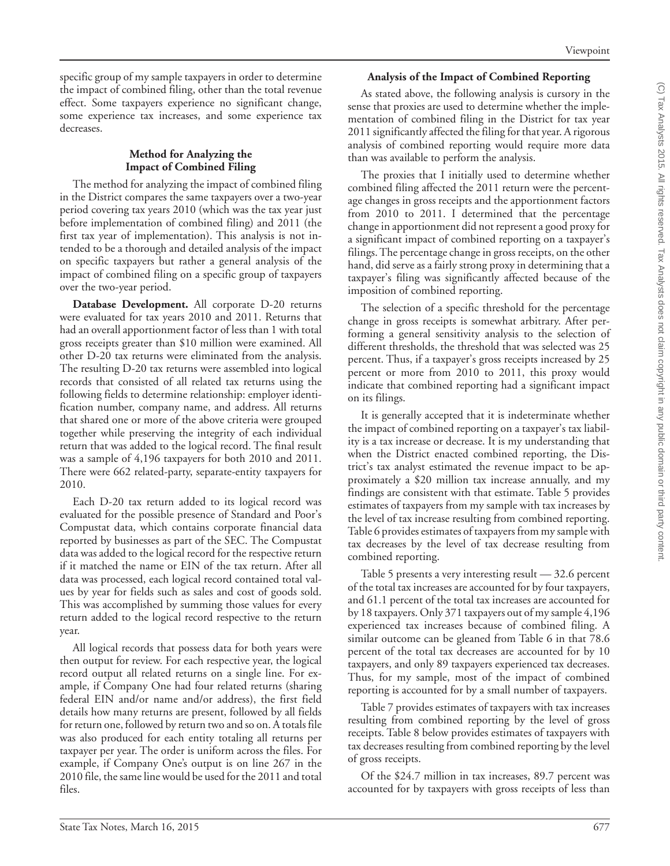specific group of my sample taxpayers in order to determine the impact of combined filing, other than the total revenue effect. Some taxpayers experience no significant change, some experience tax increases, and some experience tax decreases.

### **Method for Analyzing the Impact of Combined Filing**

The method for analyzing the impact of combined filing in the District compares the same taxpayers over a two-year period covering tax years 2010 (which was the tax year just before implementation of combined filing) and 2011 (the first tax year of implementation). This analysis is not intended to be a thorough and detailed analysis of the impact on specific taxpayers but rather a general analysis of the impact of combined filing on a specific group of taxpayers over the two-year period.

**Database Development.** All corporate D-20 returns were evaluated for tax years 2010 and 2011. Returns that had an overall apportionment factor of less than 1 with total gross receipts greater than \$10 million were examined. All other D-20 tax returns were eliminated from the analysis. The resulting D-20 tax returns were assembled into logical records that consisted of all related tax returns using the following fields to determine relationship: employer identification number, company name, and address. All returns that shared one or more of the above criteria were grouped together while preserving the integrity of each individual return that was added to the logical record. The final result was a sample of 4,196 taxpayers for both 2010 and 2011. There were 662 related-party, separate-entity taxpayers for 2010.

Each D-20 tax return added to its logical record was evaluated for the possible presence of Standard and Poor's Compustat data, which contains corporate financial data reported by businesses as part of the SEC. The Compustat data was added to the logical record for the respective return if it matched the name or EIN of the tax return. After all data was processed, each logical record contained total values by year for fields such as sales and cost of goods sold. This was accomplished by summing those values for every return added to the logical record respective to the return year.

All logical records that possess data for both years were then output for review. For each respective year, the logical record output all related returns on a single line. For example, if Company One had four related returns (sharing federal EIN and/or name and/or address), the first field details how many returns are present, followed by all fields for return one, followed by return two and so on. A totals file was also produced for each entity totaling all returns per taxpayer per year. The order is uniform across the files. For example, if Company One's output is on line 267 in the 2010 file, the same line would be used for the 2011 and total files.

# **Analysis of the Impact of Combined Reporting**

As stated above, the following analysis is cursory in the sense that proxies are used to determine whether the implementation of combined filing in the District for tax year 2011 significantly affected the filing for that year. A rigorous analysis of combined reporting would require more data than was available to perform the analysis.

The proxies that I initially used to determine whether combined filing affected the 2011 return were the percentage changes in gross receipts and the apportionment factors from 2010 to 2011. I determined that the percentage change in apportionment did not represent a good proxy for a significant impact of combined reporting on a taxpayer's filings. The percentage change in gross receipts, on the other hand, did serve as a fairly strong proxy in determining that a taxpayer's filing was significantly affected because of the imposition of combined reporting.

The selection of a specific threshold for the percentage change in gross receipts is somewhat arbitrary. After performing a general sensitivity analysis to the selection of different thresholds, the threshold that was selected was 25 percent. Thus, if a taxpayer's gross receipts increased by 25 percent or more from 2010 to 2011, this proxy would indicate that combined reporting had a significant impact on its filings.

It is generally accepted that it is indeterminate whether the impact of combined reporting on a taxpayer's tax liability is a tax increase or decrease. It is my understanding that when the District enacted combined reporting, the District's tax analyst estimated the revenue impact to be approximately a \$20 million tax increase annually, and my findings are consistent with that estimate. Table 5 provides estimates of taxpayers from my sample with tax increases by the level of tax increase resulting from combined reporting. Table 6 provides estimates of taxpayers from my sample with tax decreases by the level of tax decrease resulting from combined reporting.

Table 5 presents a very interesting result — 32.6 percent of the total tax increases are accounted for by four taxpayers, and 61.1 percent of the total tax increases are accounted for by 18 taxpayers. Only 371 taxpayers out of my sample 4,196 experienced tax increases because of combined filing. A similar outcome can be gleaned from Table 6 in that 78.6 percent of the total tax decreases are accounted for by 10 taxpayers, and only 89 taxpayers experienced tax decreases. Thus, for my sample, most of the impact of combined reporting is accounted for by a small number of taxpayers.

Table 7 provides estimates of taxpayers with tax increases resulting from combined reporting by the level of gross receipts. Table 8 below provides estimates of taxpayers with tax decreases resulting from combined reporting by the level of gross receipts.

Of the \$24.7 million in tax increases, 89.7 percent was accounted for by taxpayers with gross receipts of less than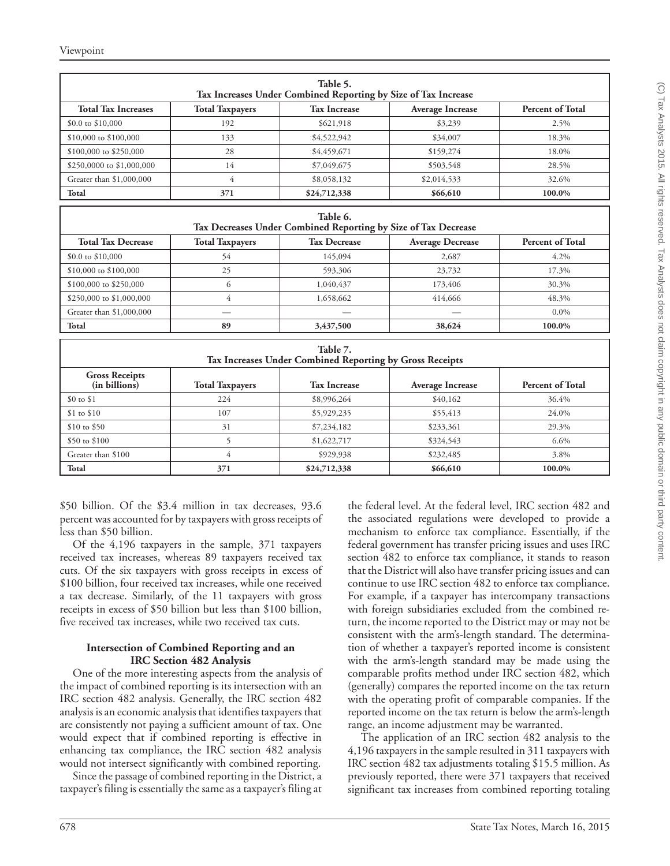Viewpoint

| Table 5.<br>Tax Increases Under Combined Reporting by Size of Tax Increase |                        |                     |                         |                         |  |  |
|----------------------------------------------------------------------------|------------------------|---------------------|-------------------------|-------------------------|--|--|
| <b>Total Tax Increases</b>                                                 | <b>Total Taxpayers</b> | <b>Tax Increase</b> | <b>Average Increase</b> | <b>Percent of Total</b> |  |  |
| $$0.0 \text{ to } $10,000$                                                 | 192                    | \$621,918           | \$3,239                 | 2.5%                    |  |  |
| \$10,000 to \$100,000                                                      | 133                    | \$4,522,942         | \$34,007                | 18.3%                   |  |  |
| \$100,000 to \$250,000                                                     | 28                     | \$4,459,671         | \$159,274               | 18.0%                   |  |  |
| \$250,0000 to \$1,000,000                                                  | 14                     | \$7,049,675         | \$503,548               | 28.5%                   |  |  |
| Greater than \$1,000,000                                                   | 4                      | \$8,058,132         | \$2,014,533             | 32.6%                   |  |  |
| Total                                                                      | 371                    | \$24,712,338        | \$66,610                | 100.0%                  |  |  |
| Table 6.<br>Tax Decreases Under Combined Reporting by Size of Tax Decrease |                        |                     |                         |                         |  |  |
| <b>Total Tax Decrease</b>                                                  | <b>Total Taxpayers</b> | <b>Tax Decrease</b> | <b>Average Decrease</b> | <b>Percent of Total</b> |  |  |
| $$0.0 \text{ to } $10,000$                                                 | 54                     | 145,094             | 2,687                   | $4.2\%$                 |  |  |
| \$10,000 to \$100,000                                                      | 25                     | 593,306             | 23,732                  | 17.3%                   |  |  |
| \$100,000 to \$250,000                                                     | 6                      | 1,040,437           | 173,406                 | 30.3%                   |  |  |

| Total                                                                | 89                     | 3,437,500           | 38,624                  | 100.0%                  |  |
|----------------------------------------------------------------------|------------------------|---------------------|-------------------------|-------------------------|--|
| Table 7.<br>Tax Increases Under Combined Reporting by Gross Receipts |                        |                     |                         |                         |  |
| <b>Gross Receipts</b><br>(in billions)                               | <b>Total Taxpayers</b> | <b>Tax Increase</b> | <b>Average Increase</b> | <b>Percent of Total</b> |  |
| $$0$ to $$1$                                                         | 224                    | \$8,996,264         | \$40,162                | 36.4%                   |  |
| $$1$ to $$10$                                                        | 107                    | \$5,929,235         | \$55,413                | 24.0%                   |  |
| $$10 \text{ to } $50$                                                | 31                     | \$7,234,182         | \$233,361               | 29.3%                   |  |
| \$50 to \$100                                                        |                        | \$1,622,717         | \$324,543               | $6.6\%$                 |  |
| Greater than \$100                                                   | 4                      | \$929,938           | \$232,485               | 3.8%                    |  |
| Total                                                                | 371                    | \$24,712,338        | \$66,610                | 100.0%                  |  |

 $$250,000 \text{ to } $1,000,000$  4 1,658,662 414,666 48.3% Greater than \$1,000,000 **Figure 1** and the set of the set of the set of the set of the set of the set of the set of the set of the set of the set of the set of the set of the set of the set of the set of the set of the set

\$50 billion. Of the \$3.4 million in tax decreases, 93.6 percent was accounted for by taxpayers with gross receipts of less than \$50 billion.

Of the 4,196 taxpayers in the sample, 371 taxpayers received tax increases, whereas 89 taxpayers received tax cuts. Of the six taxpayers with gross receipts in excess of \$100 billion, four received tax increases, while one received a tax decrease. Similarly, of the 11 taxpayers with gross receipts in excess of \$50 billion but less than \$100 billion, five received tax increases, while two received tax cuts.

#### **Intersection of Combined Reporting and an IRC Section 482 Analysis**

One of the more interesting aspects from the analysis of the impact of combined reporting is its intersection with an IRC section 482 analysis. Generally, the IRC section 482 analysis is an economic analysis that identifies taxpayers that are consistently not paying a sufficient amount of tax. One would expect that if combined reporting is effective in enhancing tax compliance, the IRC section 482 analysis would not intersect significantly with combined reporting.

Since the passage of combined reporting in the District, a taxpayer's filing is essentially the same as a taxpayer's filing at

the federal level. At the federal level, IRC section 482 and the associated regulations were developed to provide a mechanism to enforce tax compliance. Essentially, if the federal government has transfer pricing issues and uses IRC section 482 to enforce tax compliance, it stands to reason that the District will also have transfer pricing issues and can continue to use IRC section 482 to enforce tax compliance. For example, if a taxpayer has intercompany transactions with foreign subsidiaries excluded from the combined return, the income reported to the District may or may not be consistent with the arm's-length standard. The determination of whether a taxpayer's reported income is consistent with the arm's-length standard may be made using the comparable profits method under IRC section 482, which (generally) compares the reported income on the tax return with the operating profit of comparable companies. If the reported income on the tax return is below the arm's-length range, an income adjustment may be warranted.

The application of an IRC section 482 analysis to the 4,196 taxpayers in the sample resulted in 311 taxpayers with IRC section 482 tax adjustments totaling \$15.5 million. As previously reported, there were 371 taxpayers that received significant tax increases from combined reporting totaling